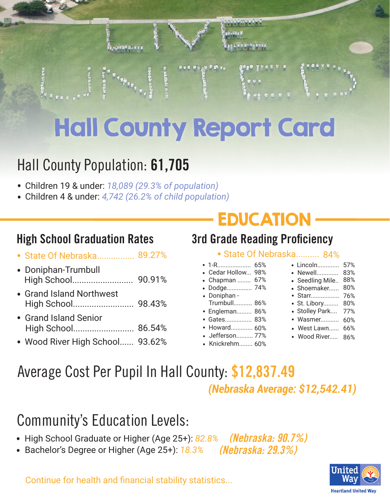

# Hall County Report Card

#### Hall County Population: **61,705**

- Children 19 & under: *18,089 (29.3% of population)* .
- Children 4 & under: *4,742 (26.2% of child population)* .

- nigh oonoor araaaaabir natoo
- . Doniphan-Trumbull High School.......................... 90.91%
- . Grand Island Northwest High School.......................... 98.43%
- . Grand Island Senior High School.......................... 86.54%
- . Wood River High School...... 93.62%

### EDUCATION

#### **High School Graduation Rates 3rd Grade Reading Proficiency**

#### • State Of Nebraska. **O A O/**

|           | 1-R           | 65% |
|-----------|---------------|-----|
|           | Cedar Hollow  | 98% |
|           | Chapman       | 67% |
| $\bullet$ | Dodge         | 74% |
|           | Doniphan -    |     |
|           | Trumbull 86%  |     |
| $\bullet$ | Engleman 86%  |     |
|           | Gates 83%     |     |
|           | Howard 60%    |     |
|           | Jefferson 77% |     |
|           | Knickrehm 60% |     |

| NQ N4/0         |     |  |  |  |
|-----------------|-----|--|--|--|
| • Lincoln       | 57% |  |  |  |
| • Newell        | 83% |  |  |  |
| · Seedling Mile | 88% |  |  |  |
| · Shoemaker     | 80% |  |  |  |
| • Starr         | 76% |  |  |  |
| · St. Libory    | 80% |  |  |  |
| · Stolley Park  | 77% |  |  |  |
| • Wasmer        | 60% |  |  |  |
| West Lawn       | 66% |  |  |  |
| Wood River      | 86% |  |  |  |

Average Cost Per Pupil In Hall County: **\$12,837.49** *(Nebraska Average: \$12,542.41)*

#### Community's Education Levels:

- High School Graduate or Higher (Age 25+): 82.8<sup>%</sup> *(Nebraska: 90.7%)*
- High School Graduate or Higher (Age 25+): *82*<br>• Bachelor's Degree or Higher (Age 25+): <u>18.3</u>% *(Nebraska: 29.3%)*